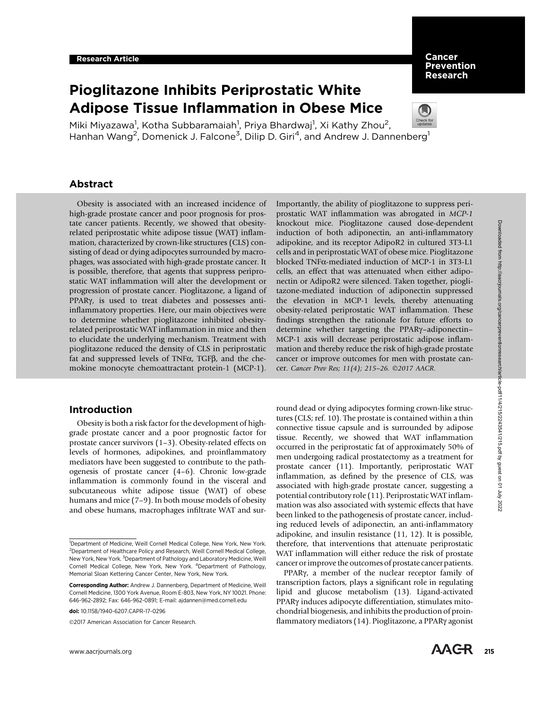# Pioglitazone Inhibits Periprostatic White Adipose Tissue Inflammation in Obese Mice

Miki Miyazawa<sup>1</sup>, Kotha Subbaramaiah<sup>1</sup>, Priya Bhardwaj<sup>1</sup>, Xi Kathy Zhou<sup>2</sup>, Hanhan Wang<sup>2</sup>, Domenick J. Falcone<sup>3</sup>, Dilip D. Giri<sup>4</sup>, and Andrew J. Dannenberg<sup>1</sup>

# Abstract

Obesity is associated with an increased incidence of high-grade prostate cancer and poor prognosis for prostate cancer patients. Recently, we showed that obesityrelated periprostatic white adipose tissue (WAT) inflammation, characterized by crown-like structures (CLS) consisting of dead or dying adipocytes surrounded by macrophages, was associated with high-grade prostate cancer. It is possible, therefore, that agents that suppress periprostatic WAT inflammation will alter the development or progression of prostate cancer. Pioglitazone, a ligand of PPAR $\gamma$ , is used to treat diabetes and possesses antiinflammatory properties. Here, our main objectives were to determine whether pioglitazone inhibited obesityrelated periprostatic WAT inflammation in mice and then to elucidate the underlying mechanism. Treatment with pioglitazone reduced the density of CLS in periprostatic fat and suppressed levels of TNF $\alpha$ , TGF $\beta$ , and the chemokine monocyte chemoattractant protein-1 (MCP-1).

## Introduction

Obesity is both a risk factor for the development of highgrade prostate cancer and a poor prognostic factor for prostate cancer survivors (1–3). Obesity-related effects on levels of hormones, adipokines, and proinflammatory mediators have been suggested to contribute to the pathogenesis of prostate cancer (4–6). Chronic low-grade inflammation is commonly found in the visceral and subcutaneous white adipose tissue (WAT) of obese humans and mice (7–9). In both mouse models of obesity and obese humans, macrophages infiltrate WAT and sur-

2017 American Association for Cancer Research.

Importantly, the ability of pioglitazone to suppress periprostatic WAT inflammation was abrogated in MCP-1 knockout mice. Pioglitazone caused dose-dependent induction of both adiponectin, an anti-inflammatory adipokine, and its receptor AdipoR2 in cultured 3T3-L1 cells and in periprostatic WAT of obese mice. Pioglitazone blocked TNFa-mediated induction of MCP-1 in 3T3-L1 cells, an effect that was attenuated when either adiponectin or AdipoR2 were silenced. Taken together, pioglitazone-mediated induction of adiponectin suppressed the elevation in MCP-1 levels, thereby attenuating obesity-related periprostatic WAT inflammation. These findings strengthen the rationale for future efforts to determine whether targeting the PPARg–adiponectin– MCP-1 axis will decrease periprostatic adipose inflammation and thereby reduce the risk of high-grade prostate cancer or improve outcomes for men with prostate cancer. Cancer Prev Res; 11(4); 215-26. ©2017 AACR.

round dead or dying adipocytes forming crown-like structures (CLS; ref. 10). The prostate is contained within a thin connective tissue capsule and is surrounded by adipose tissue. Recently, we showed that WAT inflammation occurred in the periprostatic fat of approximately 50% of men undergoing radical prostatectomy as a treatment for prostate cancer (11). Importantly, periprostatic WAT inflammation, as defined by the presence of CLS, was associated with high-grade prostate cancer, suggesting a potential contributory role (11). Periprostatic WAT inflammation was also associated with systemic effects that have been linked to the pathogenesis of prostate cancer, including reduced levels of adiponectin, an anti-inflammatory adipokine, and insulin resistance (11, 12). It is possible, therefore, that interventions that attenuate periprostatic WAT inflammation will either reduce the risk of prostate cancer or improve the outcomes of prostate cancer patients.

PPARg, a member of the nuclear receptor family of transcription factors, plays a significant role in regulating lipid and glucose metabolism (13). Ligand-activated PPARg induces adipocyte differentiation, stimulates mitochondrial biogenesis, and inhibits the production of proinflammatory mediators (14). Pioglitazone, a PPARg agonist



**Cancer** Prevention Research

<sup>&</sup>lt;sup>1</sup>Department of Medicine, Weill Cornell Medical College, New York, New York. <sup>2</sup>Department of Healthcare Policy and Research, Weill Cornell Medical College, New York, New York.<sup>3</sup> Department of Pathology and Laboratory Medicine, Weill Cornell Medical College, New York, New York. <sup>4</sup>Department of Pathology, Memorial Sloan Kettering Cancer Center, New York, New York.

Corresponding Author: Andrew J. Dannenberg, Department of Medicine, Weill Cornell Medicine, 1300 York Avenue, Room E-803, New York, NY 10021. Phone: 646-962-2892; Fax: 646-962-0891; E-mail: ajdannen@med.cornell.edu

doi: 10.1158/1940-6207.CAPR-17-0296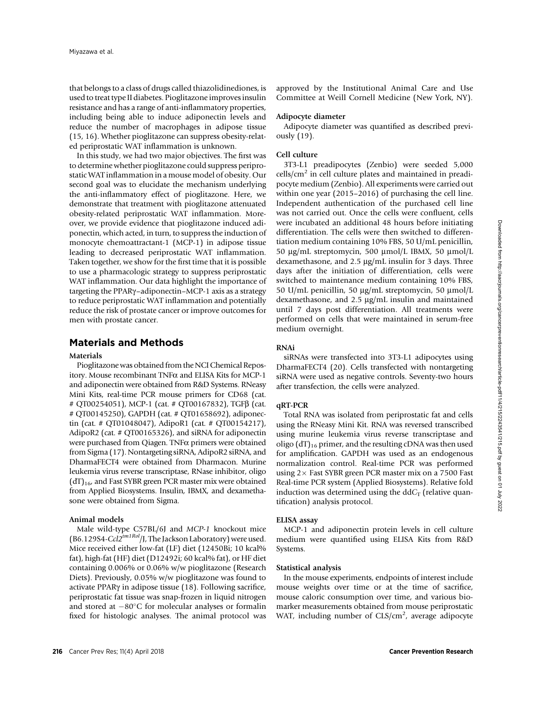that belongs to a class of drugs called thiazolidinediones, is used to treat type II diabetes. Pioglitazone improves insulin resistance and has a range of anti-inflammatory properties, including being able to induce adiponectin levels and reduce the number of macrophages in adipose tissue (15, 16). Whether pioglitazone can suppress obesity-related periprostatic WAT inflammation is unknown.

In this study, we had two major objectives. The first was to determine whether pioglitazone could suppress periprostatic WAT inflammation in a mouse model of obesity. Our second goal was to elucidate the mechanism underlying the anti-inflammatory effect of pioglitazone. Here, we demonstrate that treatment with pioglitazone attenuated obesity-related periprostatic WAT inflammation. Moreover, we provide evidence that pioglitazone induced adiponectin, which acted, in turn, to suppress the induction of monocyte chemoattractant-1 (MCP-1) in adipose tissue leading to decreased periprostatic WAT inflammation. Taken together, we show for the first time that it is possible to use a pharmacologic strategy to suppress periprostatic WAT inflammation. Our data highlight the importance of targeting the PPARg–adiponectin–MCP-1 axis as a strategy to reduce periprostatic WAT inflammation and potentially reduce the risk of prostate cancer or improve outcomes for men with prostate cancer.

## Materials and Methods

### Materials

Pioglitazone was obtained from the NCI Chemical Repository. Mouse recombinant  $TNF\alpha$  and ELISA Kits for MCP-1 and adiponectin were obtained from R&D Systems. RNeasy Mini Kits, real-time PCR mouse primers for CD68 (cat. # QT00254051), MCP-1 (cat. # QT00167832), TGFb (cat. # QT00145250), GAPDH (cat. # QT01658692), adiponectin (cat. # QT01048047), AdipoR1 (cat. # QT00154217), AdipoR2 (cat. # QT00165326), and siRNA for adiponectin were purchased from Qiagen. TNF $\alpha$  primers were obtained from Sigma (17). Nontargeting siRNA, AdipoR2 siRNA, and DharmaFECT4 were obtained from Dharmacon. Murine leukemia virus reverse transcriptase, RNase inhibitor, oligo  $(dT)_{16}$  and Fast SYBR green PCR master mix were obtained from Applied Biosystems. Insulin, IBMX, and dexamethasone were obtained from Sigma.

## Animal models

Male wild-type C57BL/6J and MCP-1 knockout mice (B6.129S4-Ccl2<sup>tm1Rol</sup>/J, The Jackson Laboratory) were used. Mice received either low-fat (LF) diet (12450Bi; 10 kcal% fat), high-fat (HF) diet (D12492i; 60 kcal% fat), or HF diet containing 0.006% or 0.06% w/w pioglitazone (Research Diets). Previously, 0.05% w/w pioglitazone was found to activate PPARg in adipose tissue (18). Following sacrifice, periprostatic fat tissue was snap-frozen in liquid nitrogen and stored at  $-80^{\circ}$ C for molecular analyses or formalin fixed for histologic analyses. The animal protocol was approved by the Institutional Animal Care and Use Committee at Weill Cornell Medicine (New York, NY).

#### Adipocyte diameter

Adipocyte diameter was quantified as described previously (19).

#### Cell culture

3T3-L1 preadipocytes (Zenbio) were seeded 5,000  $\text{cells/cm}^2$  in cell culture plates and maintained in preadipocyte medium (Zenbio). All experiments were carried out within one year (2015–2016) of purchasing the cell line. Independent authentication of the purchased cell line was not carried out. Once the cells were confluent, cells were incubated an additional 48 hours before initiating differentiation. The cells were then switched to differentiation medium containing 10% FBS, 50 U/mL penicillin, <sup>50</sup> mg/mL streptomycin, 500 mmol/L IBMX, 50 mmol/L dexamethasone, and  $2.5 \mu g/mL$  insulin for 3 days. Three days after the initiation of differentiation, cells were switched to maintenance medium containing 10% FBS, 50 U/mL penicillin, 50  $\mu$ g/mL streptomycin, 50  $\mu$ mol/L dexamethasone, and 2.5 µg/mL insulin and maintained until 7 days post differentiation. All treatments were performed on cells that were maintained in serum-free medium overnight.

## RNAi

siRNAs were transfected into 3T3-L1 adipocytes using DharmaFECT4 (20). Cells transfected with nontargeting siRNA were used as negative controls. Seventy-two hours after transfection, the cells were analyzed.

#### qRT-PCR

Total RNA was isolated from periprostatic fat and cells using the RNeasy Mini Kit. RNA was reversed transcribed using murine leukemia virus reverse transcriptase and oligo  $(dT)_{16}$  primer, and the resulting cDNA was then used for amplification. GAPDH was used as an endogenous normalization control. Real-time PCR was performed using  $2\times$  Fast SYBR green PCR master mix on a 7500 Fast Real-time PCR system (Applied Biosystems). Relative fold induction was determined using the  $ddC<sub>T</sub>$  (relative quantification) analysis protocol.

#### ELISA assay

MCP-1 and adiponectin protein levels in cell culture medium were quantified using ELISA Kits from R&D Systems.

#### Statistical analysis

In the mouse experiments, endpoints of interest include mouse weights over time or at the time of sacrifice, mouse caloric consumption over time, and various biomarker measurements obtained from mouse periprostatic WAT, including number of CLS/cm<sup>2</sup>, average adipocyte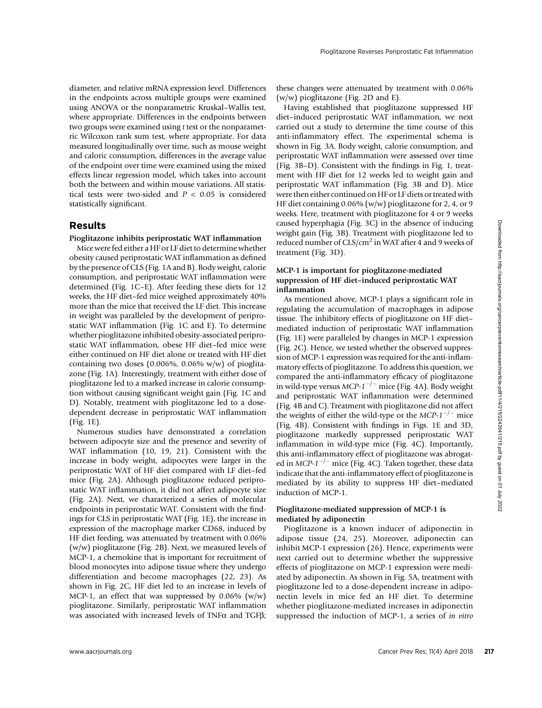diameter, and relative mRNA expression level. Differences in the endpoints across multiple groups were examined using ANOVA or the nonparametric Kruskal–Wallis test, where appropriate. Differences in the endpoints between two groups were examined using t test or the nonparametric Wilcoxon rank sum test, where appropriate. For data measured longitudinally over time, such as mouse weight and caloric consumption, differences in the average value of the endpoint over time were examined using the mixed effects linear regression model, which takes into account both the between and within mouse variations. All statistical tests were two-sided and  $P < 0.05$  is considered statistically significant.

## Results

## Pioglitazone inhibits periprostatic WAT inflammation

Mice were fed either a HF or LF diet to determine whether obesity caused periprostatic WAT inflammation as defined by the presence of CLS (Fig. 1A and B). Body weight, calorie consumption, and periprostatic WAT inflammation were determined (Fig. 1C–E). After feeding these diets for 12 weeks, the HF diet–fed mice weighed approximately 40% more than the mice that received the LF diet. This increase in weight was paralleled by the development of periprostatic WAT inflammation (Fig. 1C and E). To determine whether pioglitazone inhibited obesity-associated periprostatic WAT inflammation, obese HF diet–fed mice were either continued on HF diet alone or treated with HF diet containing two doses (0.006%, 0.06% w/w) of pioglitazone (Fig. 1A). Interestingly, treatment with either dose of pioglitazone led to a marked increase in calorie consumption without causing significant weight gain (Fig. 1C and D). Notably, treatment with pioglitazone led to a dosedependent decrease in periprostatic WAT inflammation (Fig. 1E).

Numerous studies have demonstrated a correlation between adipocyte size and the presence and severity of WAT inflammation (10, 19, 21). Consistent with the increase in body weight, adipocytes were larger in the periprostatic WAT of HF diet compared with LF diet–fed mice (Fig. 2A). Although pioglitazone reduced periprostatic WAT inflammation, it did not affect adipocyte size (Fig. 2A). Next, we characterized a series of molecular endpoints in periprostatic WAT. Consistent with the findings for CLS in periprostatic WAT (Fig. 1E), the increase in expression of the macrophage marker CD68, induced by HF diet feeding, was attenuated by treatment with 0.06% (w/w) pioglitazone (Fig. 2B). Next, we measured levels of MCP-1, a chemokine that is important for recruitment of blood monocytes into adipose tissue where they undergo differentiation and become macrophages (22, 23). As shown in Fig. 2C, HF diet led to an increase in levels of MCP-1, an effect that was suppressed by  $0.06\%$  (w/w) pioglitazone. Similarly, periprostatic WAT inflammation was associated with increased levels of TNF $\alpha$  and TGF $\beta$ ; these changes were attenuated by treatment with 0.06% (w/w) pioglitazone (Fig. 2D and E).

Having established that pioglitazone suppressed HF diet–induced periprostatic WAT inflammation, we next carried out a study to determine the time course of this anti-inflammatory effect. The experimental schema is shown in Fig. 3A. Body weight, calorie consumption, and periprostatic WAT inflammation were assessed over time (Fig. 3B–D). Consistent with the findings in Fig. 1, treatment with HF diet for 12 weeks led to weight gain and periprostatic WAT inflammation (Fig. 3B and D). Mice were then either continued on HF or LF diets or treated with HF diet containing 0.06% (w/w) pioglitazone for 2, 4, or 9 weeks. Here, treatment with pioglitazone for 4 or 9 weeks caused hyperphagia (Fig. 3C) in the absence of inducing weight gain (Fig. 3B). Treatment with pioglitazone led to reduced number of  $CLS/cm<sup>2</sup>$  in WAT after 4 and 9 weeks of treatment (Fig. 3D).

## MCP-1 is important for pioglitazone-mediated suppression of HF diet–induced periprostatic WAT inflammation

As mentioned above, MCP-1 plays a significant role in regulating the accumulation of macrophages in adipose tissue. The inhibitory effects of pioglitazone on HF diet– mediated induction of periprostatic WAT inflammation (Fig. 1E) were paralleled by changes in MCP-1 expression (Fig. 2C). Hence, we tested whether the observed suppression of MCP-1 expression was required for the anti-inflammatory effects of pioglitazone. To address this question, we compared the anti-inflammatory efficacy of pioglitazone in wild-type versus  $MCP-1^{-/-}$  mice (Fig. 4A). Body weight and periprostatic WAT inflammation were determined (Fig. 4B and C). Treatment with pioglitazone did not affect the weights of either the wild-type or the MCP- $1^{-/-}$  mice (Fig. 4B). Consistent with findings in Figs. 1E and 3D, pioglitazone markedly suppressed periprostatic WAT inflammation in wild-type mice (Fig. 4C). Importantly, this anti-inflammatory effect of pioglitazone was abrogated in MCP-1<sup>-/-</sup> mice (Fig. 4C). Taken together, these data indicate that the anti-inflammatory effect of pioglitazone is mediated by its ability to suppress HF diet–mediated induction of MCP-1.

## Pioglitazone-mediated suppression of MCP-1 is mediated by adiponectin

Pioglitazone is a known inducer of adiponectin in adipose tissue (24, 25). Moreover, adiponectin can inhibit MCP-1 expression (26). Hence, experiments were next carried out to determine whether the suppressive effects of pioglitazone on MCP-1 expression were mediated by adiponectin. As shown in Fig. 5A, treatment with pioglitazone led to a dose-dependent increase in adiponectin levels in mice fed an HF diet. To determine whether pioglitazone-mediated increases in adiponectin suppressed the induction of MCP-1, a series of in vitro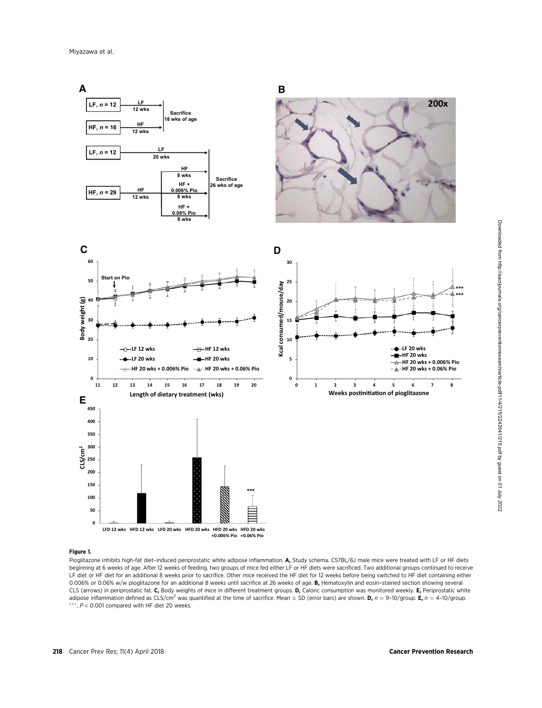

#### Figure 1.

Pioglitazone inhibits high-fat diet-induced periprostatic white adipose inflammation. A, Study schema. C57BL/6J male mice were treated with LF or HF diets beginning at 6 weeks of age. After 12 weeks of feeding, two groups of mice fed either LF or HF diets were sacrificed. Two additional groups continued to receive LF diet or HF diet for an additional 8 weeks prior to sacrifice. Other mice received the HF diet for 12 weeks before being switched to HF diet containing either 0.006% or 0.06% w/w pioglitazone for an additional 8 weeks until sacrifice at 26 weeks of age. B, Hematoxylin and eosin-stained section showing several CLS (arrows) in periprostatic fat. C, Body weights of mice in different treatment groups. D, Caloric consumption was monitored weekly. E, Periprostatic white adipose inflammation defined as CLS/cm<sup>2</sup> was quantified at the time of sacrifice. Mean  $\pm$  SD (error bars) are shown. **D**,  $n = 9$ –10/group. **E**,  $n = 4$ –10/group. \*\*\*,  $P < 0.001$  compared with HF diet 20 weeks.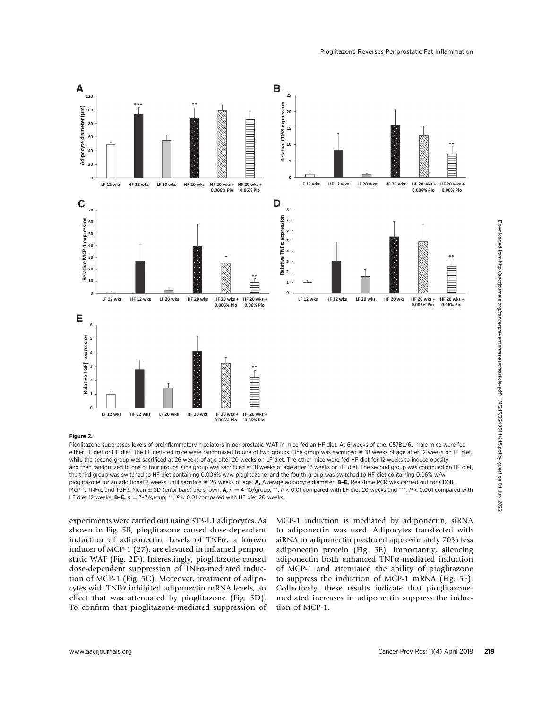

#### Figure 2.

Pioglitazone suppresses levels of proinflammatory mediators in periprostatic WAT in mice fed an HF diet. At 6 weeks of age, C57BL/6J male mice were fed either LF diet or HF diet. The LF diet–fed mice were randomized to one of two groups. One group was sacrificed at 18 weeks of age after 12 weeks on LF diet, while the second group was sacrificed at 26 weeks of age after 20 weeks on LF diet. The other mice were fed HF diet for 12 weeks to induce obesity and then randomized to one of four groups. One group was sacrificed at 18 weeks of age after 12 weeks on HF diet. The second group was continued on HF diet, the third group was switched to HF diet containing 0.006% w/w pioglitazone, and the fourth group was switched to HF diet containing 0.06% w/w pioglitazone for an additional 8 weeks until sacrifice at 26 weeks of age. A, Average adipocyte diameter. B-E, Real-time PCR was carried out for CD68, MCP-1, TNF $\alpha$ , and TGFB. Mean  $\pm$  SD (error bars) are shown. A,  $n = 4$ -10/group; \*\*,  $P < 0.01$  compared with LF diet 20 weeks and \*\*\*,  $P < 0.001$  compared with LF diet 12 weeks. **B-E,**  $n = 3-7/$ group;  $**$ ,  $P < 0.01$  compared with HF diet 20 weeks.

experiments were carried out using 3T3-L1 adipocytes. As shown in Fig. 5B, pioglitazone caused dose-dependent induction of adiponectin. Levels of TNF $\alpha$ , a known inducer of MCP-1 (27), are elevated in inflamed periprostatic WAT (Fig. 2D). Interestingly, pioglitazone caused dose-dependent suppression of TNFa-mediated induction of MCP-1 (Fig. 5C). Moreover, treatment of adipocytes with TNF $\alpha$  inhibited adiponectin mRNA levels, an effect that was attenuated by pioglitazone (Fig. 5D). To confirm that pioglitazone-mediated suppression of

MCP-1 induction is mediated by adiponectin, siRNA to adiponectin was used. Adipocytes transfected with siRNA to adiponectin produced approximately 70% less adiponectin protein (Fig. 5E). Importantly, silencing adiponectin both enhanced TNFa-mediated induction of MCP-1 and attenuated the ability of pioglitazone to suppress the induction of MCP-1 mRNA (Fig. 5F). Collectively, these results indicate that pioglitazonemediated increases in adiponectin suppress the induction of MCP-1.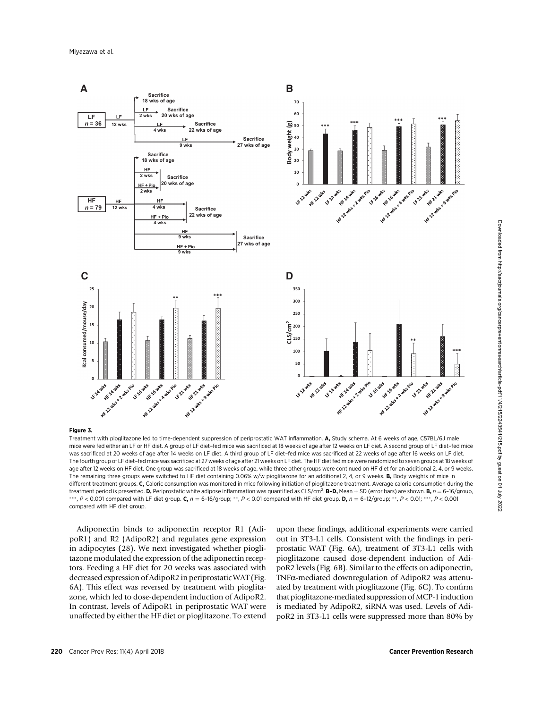

#### Figure 3.

Treatment with pioglitazone led to time-dependent suppression of periprostatic WAT inflammation. A, Study schema. At 6 weeks of age, C57BL/6J male mice were fed either an LF or HF diet. A group of LF diet–fed mice was sacrificed at 18 weeks of age after 12 weeks on LF diet. A second group of LF diet–fed mice was sacrificed at 20 weeks of age after 14 weeks on LF diet. A third group of LF diet–fed mice was sacrificed at 22 weeks of age after 16 weeks on LF diet. The fourth group of LF diet–fed mice was sacrificed at 27 weeks of age after 21 weeks on LF diet. The HF diet fed mice were randomized to seven groups at 18 weeks of age after 12 weeks on HF diet. One group was sacrificed at 18 weeks of age, while three other groups were continued on HF diet for an additional 2, 4, or 9 weeks. The remaining three groups were switched to HF diet containing 0.06% w/w pioglitazone for an additional 2, 4, or 9 weeks. B, Body weights of mice in different treatment groups. C, Caloric consumption was monitored in mice following initiation of pioglitazone treatment. Average calorie consumption during the treatment period is presented. **D,** Periprostatic white adipose inflammation was quantified as CLS/cm<sup>2</sup>. **B–D,** Mean  $\pm$  SD (error bars) are shown. **B,**  $n = 6$ –16/group, \*\*, P < 0.001 compared with LF diet group. C,  $n = 6$ -16/group; \*\*, P < 0.01 compared with HF diet group. D,  $n = 6$ -12/group; \*\*, P < 0.01; \*\*\*, P < 0.001 compared with HF diet group.

Adiponectin binds to adiponectin receptor R1 (AdipoR1) and R2 (AdipoR2) and regulates gene expression in adipocytes (28). We next investigated whether pioglitazone modulated the expression of the adiponectin receptors. Feeding a HF diet for 20 weeks was associated with decreased expression of AdipoR2 in periprostatic WAT (Fig. 6A). This effect was reversed by treatment with pioglitazone, which led to dose-dependent induction of AdipoR2. In contrast, levels of AdipoR1 in periprostatic WAT were unaffected by either the HF diet or pioglitazone. To extend upon these findings, additional experiments were carried out in 3T3-L1 cells. Consistent with the findings in periprostatic WAT (Fig. 6A), treatment of 3T3-L1 cells with pioglitazone caused dose-dependent induction of AdipoR2 levels (Fig. 6B). Similar to the effects on adiponectin, TNFa-mediated downregulation of AdipoR2 was attenuated by treatment with pioglitazone (Fig. 6C). To confirm that pioglitazone-mediated suppression of MCP-1 induction is mediated by AdipoR2, siRNA was used. Levels of AdipoR2 in 3T3-L1 cells were suppressed more than 80% by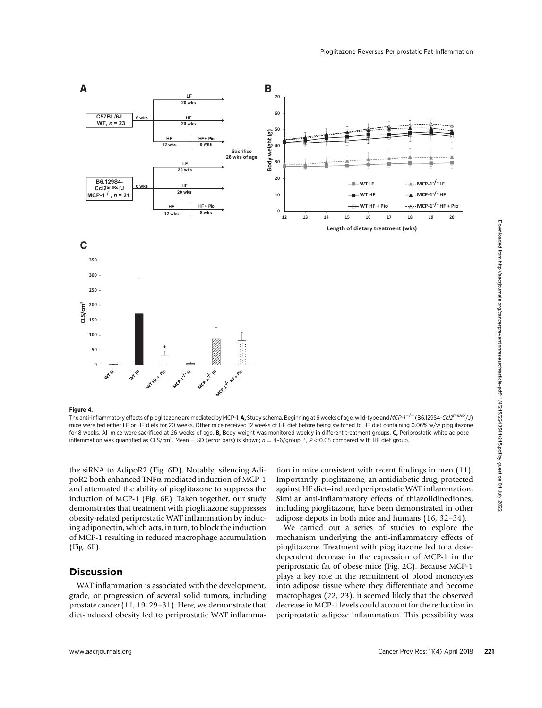

Figure 4.

The anti-inflammatory effects of pioglitazone are mediated by MCP-1. A, Study schema. Beginning at 6 weeks of age, wild-type and MCP-1<sup>-/-</sup> (B6.129S4-Ccl2<sup>tm1Rol</sup>/J) mice were fed either LF or HF diets for 20 weeks. Other mice received 12 weeks of HF diet before being switched to HF diet containing 0.06% w/w pioglitazone for 8 weeks. All mice were sacrificed at 26 weeks of age. **B.** Body weight was monitored weekly in different treatment groups. C. Periprostatic white adipose inflammation was quantified as CLS/cm<sup>2</sup>. Mean  $\pm$  SD (error bars) is shown;  $n = 4-6/$ group; \*,  $P < 0.05$  compared with HF diet group.

the siRNA to AdipoR2 (Fig. 6D). Notably, silencing AdipoR2 both enhanced TNFa-mediated induction of MCP-1 and attenuated the ability of pioglitazone to suppress the induction of MCP-1 (Fig. 6E). Taken together, our study demonstrates that treatment with pioglitazone suppresses obesity-related periprostatic WAT inflammation by inducing adiponectin, which acts, in turn, to block the induction of MCP-1 resulting in reduced macrophage accumulation (Fig. 6F).

# Discussion

WAT inflammation is associated with the development, grade, or progression of several solid tumors, including prostate cancer (11, 19, 29–31). Here, we demonstrate that diet-induced obesity led to periprostatic WAT inflammation in mice consistent with recent findings in men (11). Importantly, pioglitazone, an antidiabetic drug, protected against HF diet–induced periprostatic WAT inflammation. Similar anti-inflammatory effects of thiazolidinediones, including pioglitazone, have been demonstrated in other adipose depots in both mice and humans (16, 32–34).

We carried out a series of studies to explore the mechanism underlying the anti-inflammatory effects of pioglitazone. Treatment with pioglitazone led to a dosedependent decrease in the expression of MCP-1 in the periprostatic fat of obese mice (Fig. 2C). Because MCP-1 plays a key role in the recruitment of blood monocytes into adipose tissue where they differentiate and become macrophages (22, 23), it seemed likely that the observed decrease in MCP-1 levels could account for the reduction in periprostatic adipose inflammation. This possibility was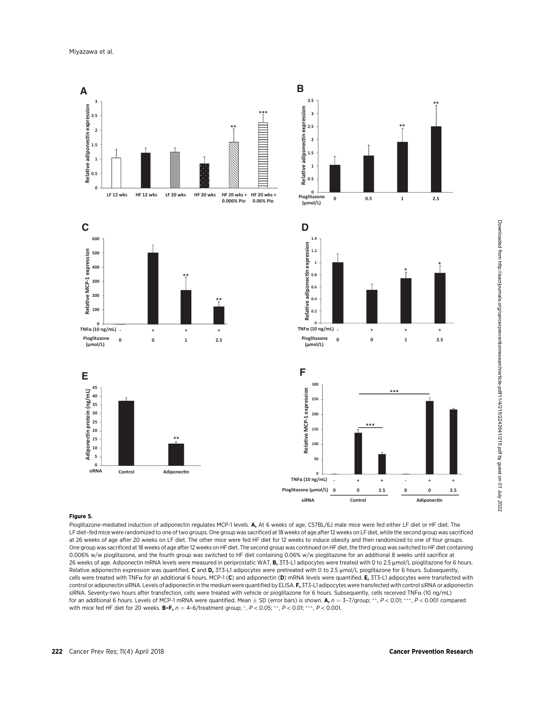

## Figure 5.

Pioglitazone-mediated induction of adiponectin regulates MCP-1 levels. A, At 6 weeks of age, C57BL/6J male mice were fed either LF diet or HF diet. The LF diet–fed mice were randomized to one of two groups. One group was sacrificed at 18 weeks of age after 12 weeks on LF diet, while the second group was sacrificed at 26 weeks of age after 20 weeks on LF diet. The other mice were fed HF diet for 12 weeks to induce obesity and then randomized to one of four groups. One group was sacrificed at 18 weeks of age after 12 weeks on HF diet. The second group was continued on HF diet, the third group was switched to HF diet containing 0.006% w/w pioglitazone, and the fourth group was switched to HF diet containing 0.06% w/w pioglitazone for an additional 8 weeks until sacrifice at 26 weeks of age. Adiponectin mRNA levels were measured in periprostatic WAT. B, 3T3-L1 adipocytes were treated with 0 to 2.5 umol/L pioglitazone for 6 hours. Relative adiponectin expression was quantified. C and D, 3T3-L1 adipocytes were pretreated with 0 to 2.5  $\mu$ mol/L pioglitazone for 6 hours. Subsequently, cells were treated with TNF $\alpha$  for an additional 6 hours. MCP-1 (C) and adiponectin (D) mRNA levels were quantified. E, 3T3-L1 adipocytes were transfected with control or adiponectin siRNA. Levels of adiponectin in the medium were quantified by ELISA. F, 3T3-L1 adipocytes were transfected with control siRNA or adiponectin siRNA. Seventy-two hours after transfection, cells were treated with vehicle or pioglitazone for 6 hours. Subsequently, cells received TNFa (10 ng/mL) for an additional 6 hours. Levels of MCP-1 mRNA were quantified. Mean  $\pm$  SD (error bars) is shown. A,  $n = 3-7/$ group;  $**$ ,  $P < 0.01$ ; \*\*\*,  $P < 0.001$  compared with mice fed HF diet for 20 weeks. **B-F,**  $n = 4-6$ /treatment group; \*,  $P < 0.05$ ; \*\*,  $P < 0.01$ ; \*\*\*,  $P < 0.001$ .

Downloaded from http://aacrjournals.org/cancerpreventionresearch/article-pdf/11/4/215/2243541/215.pdf by guest on 01 July 2022 Downloaded from http://aacrjournals.org/cancerpreventionresearch/article-pdf/11/4/215/2243541/215.pdf by guest on 01 July 2022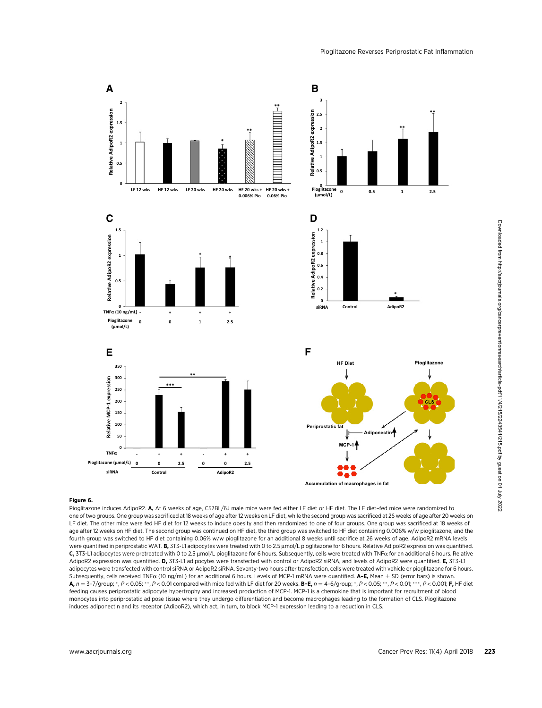

Pioglitazone induces AdipoR2. A, At 6 weeks of age, C57BL/6J male mice were fed either LF diet or HF diet. The LF diet-fed mice were randomized to one of two groups. One group was sacrificed at 18 weeks of age after 12 weeks on LF diet, while the second group was sacrificed at 26 weeks of age after 20 weeks on LF diet. The other mice were fed HF diet for 12 weeks to induce obesity and then randomized to one of four groups. One group was sacrificed at 18 weeks of age after 12 weeks on HF diet. The second group was continued on HF diet, the third group was switched to HF diet containing 0.006% w/w pioglitazone, and the fourth group was switched to HF diet containing 0.06% w/w pioglitazone for an additional 8 weeks until sacrifice at 26 weeks of age. AdipoR2 mRNA levels were quantified in periprostatic WAT. B, 3T3-L1 adipocytes were treated with 0 to 2.5  $\mu$ mol/L pioglitazone for 6 hours. Relative AdipoR2 expression was quantified. C, 3T3-L1 adipocytes were pretreated with 0 to 2.5 µmol/L pioglitazone for 6 hours. Subsequently, cells were treated with TNFa for an additional 6 hours. Relative AdipoR2 expression was quantified. D, 3T3-L1 adipocytes were transfected with control or AdipoR2 siRNA, and levels of AdipoR2 were quantified. E, 3T3-L1 adipocytes were transfected with control siRNA or AdipoR2 siRNA. Seventy-two hours after transfection, cells were treated with vehicle or pioglitazone for 6 hours. Subsequently, cells received TNF $\alpha$  (10 ng/mL) for an additional 6 hours. Levels of MCP-1 mRNA were quantified. **A–E,** Mean  $\pm$  SD (error bars) is shown.<br>A n = 3-7/group: \* P < 0.05: \*\* P < 0.01 compared with mice fed w  $\mathsf{A}, n = 3$ –7/group;  $^*, P < 0.05; ^{**}, P < 0.01$  compared with mice fed with LF diet for 20 weeks. B–E,  $n = 4$ –6/group;  $^*, P < 0.05; ^{**}, P < 0.01; ^{***}, P < 0.001;$  F, HF diet<br>feeding causes periprostatic adinocyte bypertrophy and feeding causes periprostatic adipocyte hypertrophy and increased production of MCP-1. MCP-1 is a chemokine that is important for recruitment of blood monocytes into periprostatic adipose tissue where they undergo differentiation and become macrophages leading to the formation of CLS. Pioglitazone induces adiponectin and its receptor (AdipoR2), which act, in turn, to block MCP-1 expression leading to a reduction in CLS.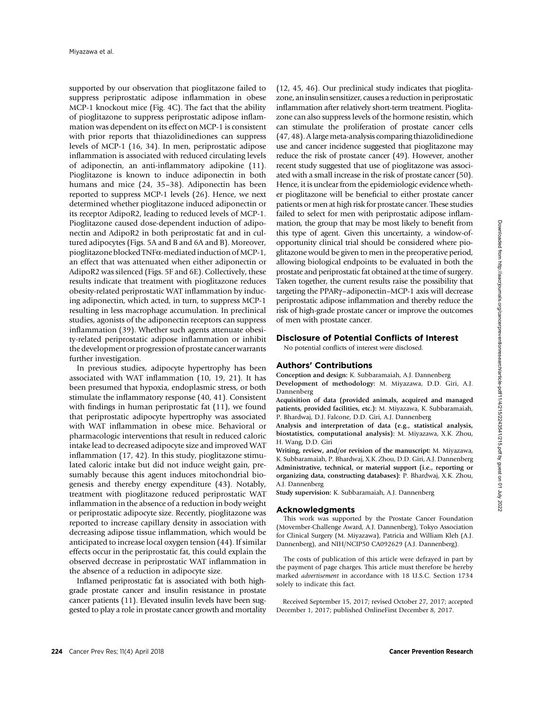supported by our observation that pioglitazone failed to suppress periprostatic adipose inflammation in obese MCP-1 knockout mice (Fig. 4C). The fact that the ability of pioglitazone to suppress periprostatic adipose inflammation was dependent on its effect on MCP-1 is consistent with prior reports that thiazolidinediones can suppress levels of MCP-1 (16, 34). In men, periprostatic adipose inflammation is associated with reduced circulating levels of adiponectin, an anti-inflammatory adipokine (11). Pioglitazone is known to induce adiponectin in both humans and mice (24, 35–38). Adiponectin has been reported to suppress MCP-1 levels (26). Hence, we next determined whether pioglitazone induced adiponectin or its receptor AdipoR2, leading to reduced levels of MCP-1. Pioglitazone caused dose-dependent induction of adiponectin and AdipoR2 in both periprostatic fat and in cultured adipocytes (Figs. 5A and B and 6A and B). Moreover, pioglitazone blocked TNFa-mediated induction of MCP-1, an effect that was attenuated when either adiponectin or AdipoR2 was silenced (Figs. 5F and 6E). Collectively, these results indicate that treatment with pioglitazone reduces obesity-related periprostatic WAT inflammation by inducing adiponectin, which acted, in turn, to suppress MCP-1 resulting in less macrophage accumulation. In preclinical studies, agonists of the adiponectin receptors can suppress inflammation (39). Whether such agents attenuate obesity-related periprostatic adipose inflammation or inhibit the development or progression of prostate cancer warrants further investigation.

In previous studies, adipocyte hypertrophy has been associated with WAT inflammation (10, 19, 21). It has been presumed that hypoxia, endoplasmic stress, or both stimulate the inflammatory response (40, 41). Consistent with findings in human periprostatic fat (11), we found that periprostatic adipocyte hypertrophy was associated with WAT inflammation in obese mice. Behavioral or pharmacologic interventions that result in reduced caloric intake lead to decreased adipocyte size and improved WAT inflammation (17, 42). In this study, pioglitazone stimulated caloric intake but did not induce weight gain, presumably because this agent induces mitochondrial biogenesis and thereby energy expenditure (43). Notably, treatment with pioglitazone reduced periprostatic WAT inflammation in the absence of a reduction in body weight or periprostatic adipocyte size. Recently, pioglitazone was reported to increase capillary density in association with decreasing adipose tissue inflammation, which would be anticipated to increase local oxygen tension (44). If similar effects occur in the periprostatic fat, this could explain the observed decrease in periprostatic WAT inflammation in the absence of a reduction in adipocyte size.

Inflamed periprostatic fat is associated with both highgrade prostate cancer and insulin resistance in prostate cancer patients (11). Elevated insulin levels have been suggested to play a role in prostate cancer growth and mortality

(12, 45, 46). Our preclinical study indicates that pioglitazone, an insulin sensitizer, causes a reduction in periprostatic inflammation after relatively short-term treatment. Pioglitazone can also suppress levels of the hormone resistin, which can stimulate the proliferation of prostate cancer cells (47, 48). A largemeta-analysis comparing thiazolidinedione use and cancer incidence suggested that pioglitazone may reduce the risk of prostate cancer (49). However, another recent study suggested that use of pioglitazone was associated with a small increase in the risk of prostate cancer (50). Hence, it is unclear from the epidemiologic evidence whether pioglitazone will be beneficial to either prostate cancer patients or men at high risk for prostate cancer. These studies failed to select for men with periprostatic adipose inflammation, the group that may be most likely to benefit from this type of agent. Given this uncertainty, a window-ofopportunity clinical trial should be considered where pioglitazone would be given to men in the preoperative period, allowing biological endpoints to be evaluated in both the prostate and periprostatic fat obtained at the time of surgery. Taken together, the current results raise the possibility that targeting the PPARg–adiponectin–MCP-1 axis will decrease periprostatic adipose inflammation and thereby reduce the risk of high-grade prostate cancer or improve the outcomes of men with prostate cancer.

#### Disclosure of Potential Conflicts of Interest

No potential conflicts of interest were disclosed.

## Authors' Contributions

Conception and design: K. Subbaramaiah, A.J. Dannenberg Development of methodology: M. Miyazawa, D.D. Giri, A.J. Dannenberg

Acquisition of data (provided animals, acquired and managed patients, provided facilities, etc.): M. Miyazawa, K. Subbaramaiah, P. Bhardwaj, D.J. Falcone, D.D. Giri, A.J. Dannenberg

Analysis and interpretation of data (e.g., statistical analysis, biostatistics, computational analysis): M. Miyazawa, X.K. Zhou, H. Wang, D.D. Giri

Writing, review, and/or revision of the manuscript: M. Miyazawa, K. Subbaramaiah, P. Bhardwaj, X.K. Zhou, D.D. Giri, A.J. Dannenberg Administrative, technical, or material support (i.e., reporting or organizing data, constructing databases): P. Bhardwaj, X.K. Zhou, A.J. Dannenberg

Study supervision: K. Subbaramaiah, A.J. Dannenberg

#### Acknowledgments

This work was supported by the Prostate Cancer Foundation (Movember-Challenge Award, A.J. Dannenberg), Tokyo Association for Clinical Surgery (M. Miyazawa), Patricia and William Kleh (A.J. Dannenberg), and NIH/NCIP50 CA092629 (A.J. Dannenberg).

The costs of publication of this article were defrayed in part by the payment of page charges. This article must therefore be hereby marked advertisement in accordance with 18 U.S.C. Section 1734 solely to indicate this fact.

Received September 15, 2017; revised October 27, 2017; accepted December 1, 2017; published OnlineFirst December 8, 2017.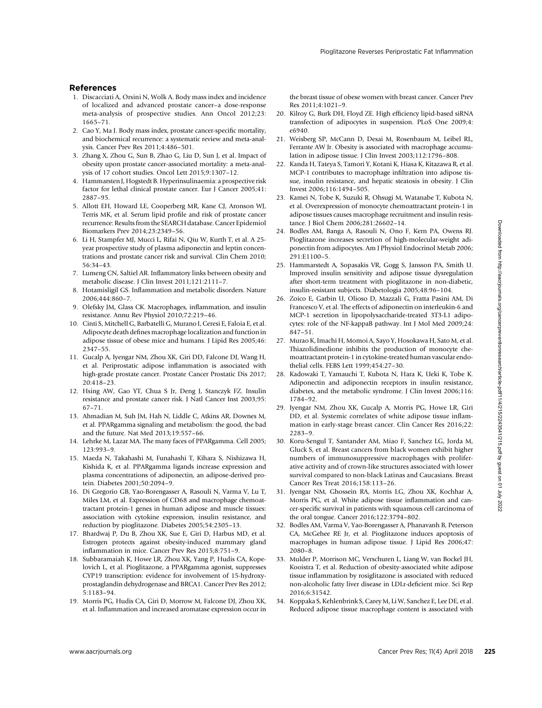## References

- 1. Discacciati A, Orsini N, Wolk A. Body mass index and incidence of localized and advanced prostate cancer–a dose-response meta-analysis of prospective studies. Ann Oncol 2012;23: 1665–71.
- 2. Cao Y, Ma J. Body mass index, prostate cancer-specific mortality, and biochemical recurrence: a systematic review and meta-analysis. Cancer Prev Res 2011;4:486–501.
- 3. Zhang X, Zhou G, Sun B, Zhao G, Liu D, Sun J, et al. Impact of obesity upon prostate cancer-associated mortality: a meta-analysis of 17 cohort studies. Oncol Lett 2015;9:1307–12.
- 4. Hammarsten J, Hogstedt B. Hyperinsulinaemia: a prospective risk factor for lethal clinical prostate cancer. Eur J Cancer 2005;41: 2887–95.
- 5. Allott EH, Howard LE, Cooperberg MR, Kane CJ, Aronson WJ, Terris MK, et al. Serum lipid profile and risk of prostate cancer recurrence: Results from the SEARCH database. Cancer Epidemiol Biomarkers Prev 2014;23:2349–56.
- 6. Li H, Stampfer MJ, Mucci L, Rifai N, Qiu W, Kurth T, et al. A 25 year prospective study of plasma adiponectin and leptin concentrations and prostate cancer risk and survival. Clin Chem 2010; 56:34–43.
- 7. Lumeng CN, Saltiel AR. Inflammatory links between obesity and metabolic disease. J Clin Invest 2011;121:2111–7.
- 8. Hotamisligil GS. Inflammation and metabolic disorders. Nature 2006;444:860–7.
- 9. Olefsky JM, Glass CK. Macrophages, inflammation, and insulin resistance. Annu Rev Physiol 2010;72:219–46.
- 10. Cinti S, Mitchell G, Barbatelli G, Murano I, Ceresi E, Faloia E, et al. Adipocyte death defines macrophage localization and function in adipose tissue of obese mice and humans. J Lipid Res 2005;46: 2347–55.
- 11. Gucalp A, Iyengar NM, Zhou XK, Giri DD, Falcone DJ, Wang H, et al. Periprostatic adipose inflammation is associated with high-grade prostate cancer. Prostate Cancer Prostatic Dis 2017; 20:418–23.
- 12. Hsing AW, Gao YT, Chua S Jr, Deng J, Stanczyk FZ. Insulin resistance and prostate cancer risk. J Natl Cancer Inst 2003;95: 67–71.
- 13. Ahmadian M, Suh JM, Hah N, Liddle C, Atkins AR, Downes M, et al. PPARgamma signaling and metabolism: the good, the bad and the future. Nat Med 2013;19:557–66.
- 14. Lehrke M, Lazar MA. The many faces of PPARgamma. Cell 2005; 123:993–9.
- 15. Maeda N, Takahashi M, Funahashi T, Kihara S, Nishizawa H, Kishida K, et al. PPARgamma ligands increase expression and plasma concentrations of adiponectin, an adipose-derived protein. Diabetes 2001;50:2094–9.
- 16. Di Gregorio GB, Yao-Borengasser A, Rasouli N, Varma V, Lu T, Miles LM, et al. Expression of CD68 and macrophage chemoattractant protein-1 genes in human adipose and muscle tissues: association with cytokine expression, insulin resistance, and reduction by pioglitazone. Diabetes 2005;54:2305–13.
- 17. Bhardwaj P, Du B, Zhou XK, Sue E, Giri D, Harbus MD, et al. Estrogen protects against obesity-induced mammary gland inflammation in mice. Cancer Prev Res 2015;8:751–9.
- 18. Subbaramaiah K, Howe LR, Zhou XK, Yang P, Hudis CA, Kopelovich L, et al. Pioglitazone, a PPARgamma agonist, suppresses CYP19 transcription: evidence for involvement of 15-hydroxyprostaglandin dehydrogenase and BRCA1. Cancer Prev Res 2012; 5:1183–94.
- 19. Morris PG, Hudis CA, Giri D, Morrow M, Falcone DJ, Zhou XK, et al. Inflammation and increased aromatase expression occur in

the breast tissue of obese women with breast cancer. Cancer Prev  $Res 2011:4:1021-9$ 

- 20. Kilroy G, Burk DH, Floyd ZE. High efficiency lipid-based siRNA transfection of adipocytes in suspension. PLoS One 2009;4: e6940.
- 21. Weisberg SP, McCann D, Desai M, Rosenbaum M, Leibel RL, Ferrante AW Jr. Obesity is associated with macrophage accumulation in adipose tissue. J Clin Invest 2003;112:1796–808.
- 22. Kanda H, Tateya S, Tamori Y, Kotani K, Hiasa K, Kitazawa R, et al. MCP-1 contributes to macrophage infiltration into adipose tissue, insulin resistance, and hepatic steatosis in obesity. J Clin Invest 2006;116:1494–505.
- 23. Kamei N, Tobe K, Suzuki R, Ohsugi M, Watanabe T, Kubota N, et al. Overexpression of monocyte chemoattractant protein-1 in adipose tissues causes macrophage recruitment and insulin resistance. J Biol Chem 2006;281:26602–14.
- 24. Bodles AM, Banga A, Rasouli N, Ono F, Kern PA, Owens RJ. Pioglitazone increases secretion of high-molecular-weight adiponectin from adipocytes. Am J Physiol Endocrinol Metab 2006; 291:E1100–5.
- 25. Hammarstedt A, Sopasakis VR, Gogg S, Jansson PA, Smith U. Improved insulin sensitivity and adipose tissue dysregulation after short-term treatment with pioglitazone in non-diabetic, insulin-resistant subjects. Diabetologia 2005;48:96–104.
- 26. Zoico E, Garbin U, Olioso D, Mazzali G, Fratta Pasini AM, Di Francesco V, et al. The effects of adiponectin on interleukin-6 and MCP-1 secretion in lipopolysaccharide-treated 3T3-L1 adipocytes: role of the NF-kappaB pathway. Int J Mol Med 2009;24: 847–51.
- 27. Murao K, Imachi H, Momoi A, Sayo Y, Hosokawa H, Sato M, et al. Thiazolidinedione inhibits the production of monocyte chemoattractant protein-1 in cytokine-treated human vascular endothelial cells. FEBS Lett 1999;454:27–30.
- 28. Kadowaki T, Yamauchi T, Kubota N, Hara K, Ueki K, Tobe K. Adiponectin and adiponectin receptors in insulin resistance, diabetes, and the metabolic syndrome. J Clin Invest 2006;116: 1784–92.
- 29. Iyengar NM, Zhou XK, Gucalp A, Morris PG, Howe LR, Giri DD, et al. Systemic correlates of white adipose tissue inflammation in early-stage breast cancer. Clin Cancer Res 2016;22: 2283–9.
- 30. Koru-Sengul T, Santander AM, Miao F, Sanchez LG, Jorda M, Gluck S, et al. Breast cancers from black women exhibit higher numbers of immunosuppressive macrophages with proliferative activity and of crown-like structures associated with lower survival compared to non-black Latinas and Caucasians. Breast Cancer Res Treat 2016;158:113–26.
- 31. Iyengar NM, Ghossein RA, Morris LG, Zhou XK, Kochhar A, Morris PG, et al. White adipose tissue inflammation and cancer-specific survival in patients with squamous cell carcinoma of the oral tongue. Cancer 2016;122:3794–802.
- 32. Bodles AM, Varma V, Yao-Borengasser A, Phanavanh B, Peterson CA, McGehee RE Jr, et al. Pioglitazone induces apoptosis of macrophages in human adipose tissue. J Lipid Res 2006;47: 2080–8.
- 33. Mulder P, Morrison MC, Verschuren L, Liang W, van Bockel JH, Kooistra T, et al. Reduction of obesity-associated white adipose tissue inflammation by rosiglitazone is associated with reduced non-alcoholic fatty liver disease in LDLr-deficient mice. Sci Rep 2016;6:31542.
- 34. Koppaka S, Kehlenbrink S, Carey M, Li W, Sanchez E, Lee DE, et al. Reduced adipose tissue macrophage content is associated with